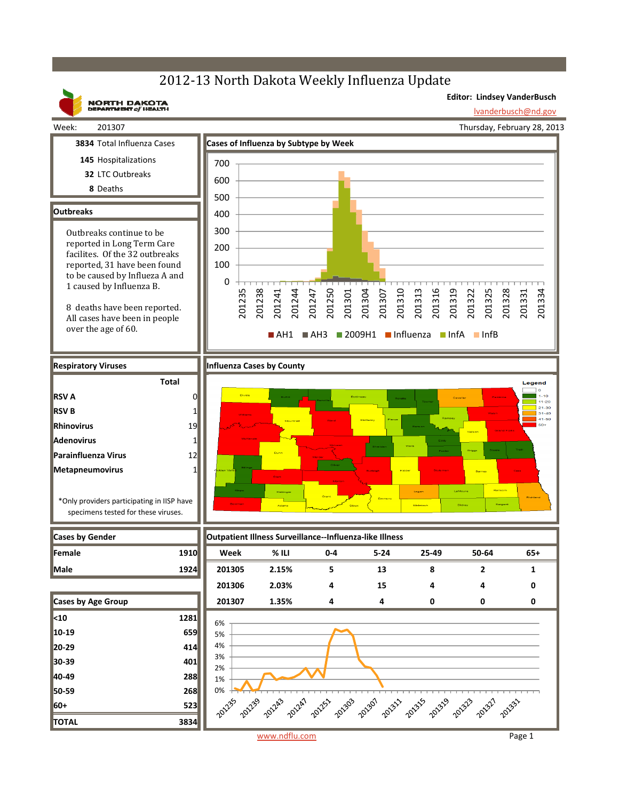## 2012-13 North Dakota Weekly Influenza Update



www.ndflu.com Page 1